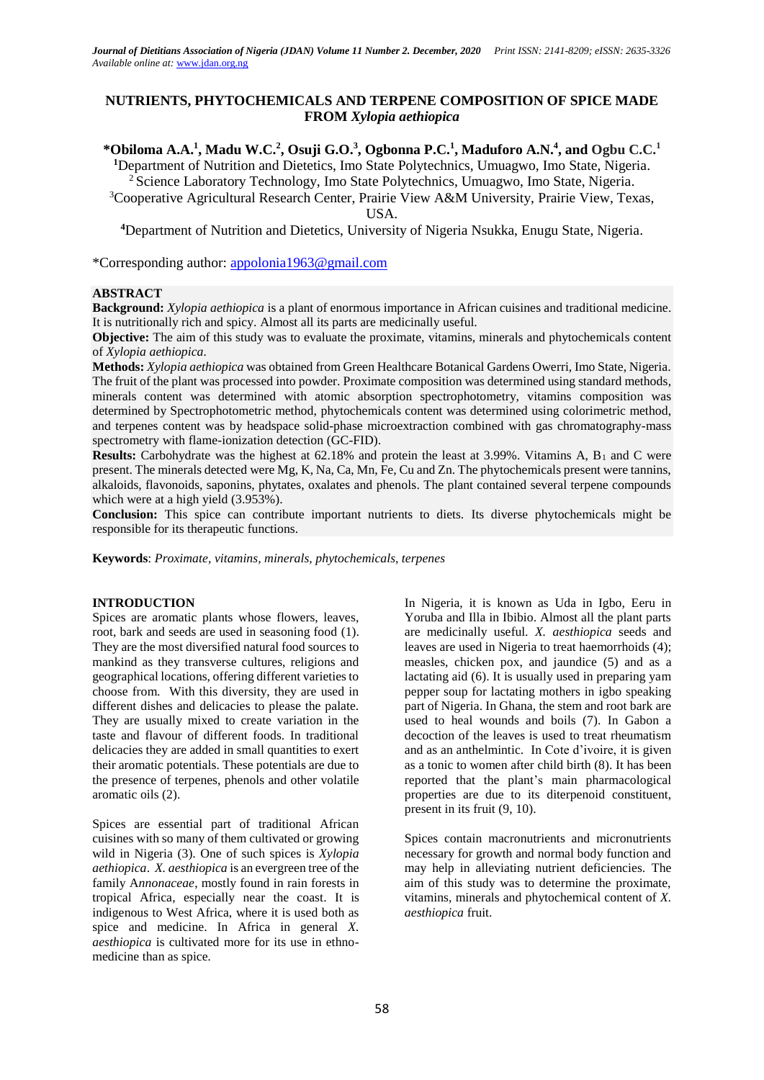# **NUTRIENTS, PHYTOCHEMICALS AND TERPENE COMPOSITION OF SPICE MADE FROM** *Xylopia aethiopica*

\*Obiloma A.A.<sup>1</sup>, Madu W.C.<sup>2</sup>, Osuji G.O.<sup>3</sup>, Ogbonna P.C.<sup>1</sup>, Maduforo A.N.<sup>4</sup>, and Ogbu C.C.<sup>1</sup> **<sup>1</sup>**Department of Nutrition and Dietetics, Imo State Polytechnics, Umuagwo, Imo State, Nigeria.

<sup>2</sup> Science Laboratory Technology, Imo State Polytechnics, Umuagwo, Imo State, Nigeria.

<sup>3</sup>Cooperative Agricultural Research Center, Prairie View A&M University, Prairie View, Texas, USA.

**<sup>4</sup>**Department of Nutrition and Dietetics, University of Nigeria Nsukka, Enugu State, Nigeria.

\*Corresponding author: [appolonia1963@gmail.com](mailto:appolonia1963@gmail.com)

# **ABSTRACT**

**Background:** *Xylopia aethiopica* is a plant of enormous importance in African cuisines and traditional medicine. It is nutritionally rich and spicy. Almost all its parts are medicinally useful.

**Objective:** The aim of this study was to evaluate the proximate, vitamins, minerals and phytochemicals content of *Xylopia aethiopica.*

**Methods:** *Xylopia aethiopica* was obtained from Green Healthcare Botanical Gardens Owerri, Imo State, Nigeria. The fruit of the plant was processed into powder. Proximate composition was determined using standard methods, minerals content was determined with atomic absorption spectrophotometry, vitamins composition was determined by Spectrophotometric method, phytochemicals content was determined using colorimetric method, and terpenes content was by headspace solid-phase microextraction combined with gas chromatography-mass spectrometry with flame-ionization detection (GC-FID).

**Results:** Carbohydrate was the highest at 62.18% and protein the least at 3.99%. Vitamins A, B<sub>1</sub> and C were present. The minerals detected were Mg, K, Na, Ca, Mn, Fe, Cu and Zn. The phytochemicals present were tannins, alkaloids, flavonoids, saponins, phytates, oxalates and phenols. The plant contained several terpene compounds which were at a high yield (3.953%).

**Conclusion:** This spice can contribute important nutrients to diets. Its diverse phytochemicals might be responsible for its therapeutic functions.

**Keywords**: *Proximate, vitamins, minerals, phytochemicals, terpenes*

### **INTRODUCTION**

Spices are aromatic plants whose flowers, leaves, root, bark and seeds are used in seasoning food (1). They are the most diversified natural food sources to mankind as they transverse cultures, religions and geographical locations, offering different varieties to choose from. With this diversity, they are used in different dishes and delicacies to please the palate. They are usually mixed to create variation in the taste and flavour of different foods. In traditional delicacies they are added in small quantities to exert their aromatic potentials. These potentials are due to the presence of terpenes, phenols and other volatile aromatic oils (2).

Spices are essential part of traditional African cuisines with so many of them cultivated or growing wild in Nigeria (3). One of such spices is *Xylopia aethiopica*. *X. aesthiopica* is an evergreen tree of the family A*nnonaceae*, mostly found in rain forests in tropical Africa, especially near the coast. It is indigenous to West Africa, where it is used both as spice and medicine. In Africa in general *X. aesthiopica* is cultivated more for its use in ethnomedicine than as spice*.* 

In Nigeria, it is known as Uda in Igbo, Eeru in Yoruba and Illa in Ibibio. Almost all the plant parts are medicinally useful. *X. aesthiopica* seeds and leaves are used in Nigeria to treat haemorrhoids (4); measles, chicken pox, and jaundice (5) and as a lactating aid (6). It is usually used in preparing yam pepper soup for lactating mothers in igbo speaking part of Nigeria. In Ghana, the stem and root bark are used to heal wounds and boils (7). In Gabon a decoction of the leaves is used to treat rheumatism and as an anthelmintic. In Cote d'ivoire, it is given as a tonic to women after child birth (8). It has been reported that the plant's main pharmacological properties are due to its diterpenoid constituent, present in its fruit (9, 10).

Spices contain macronutrients and micronutrients necessary for growth and normal body function and may help in alleviating nutrient deficiencies. The aim of this study was to determine the proximate, vitamins, minerals and phytochemical content of *X. aesthiopica* fruit.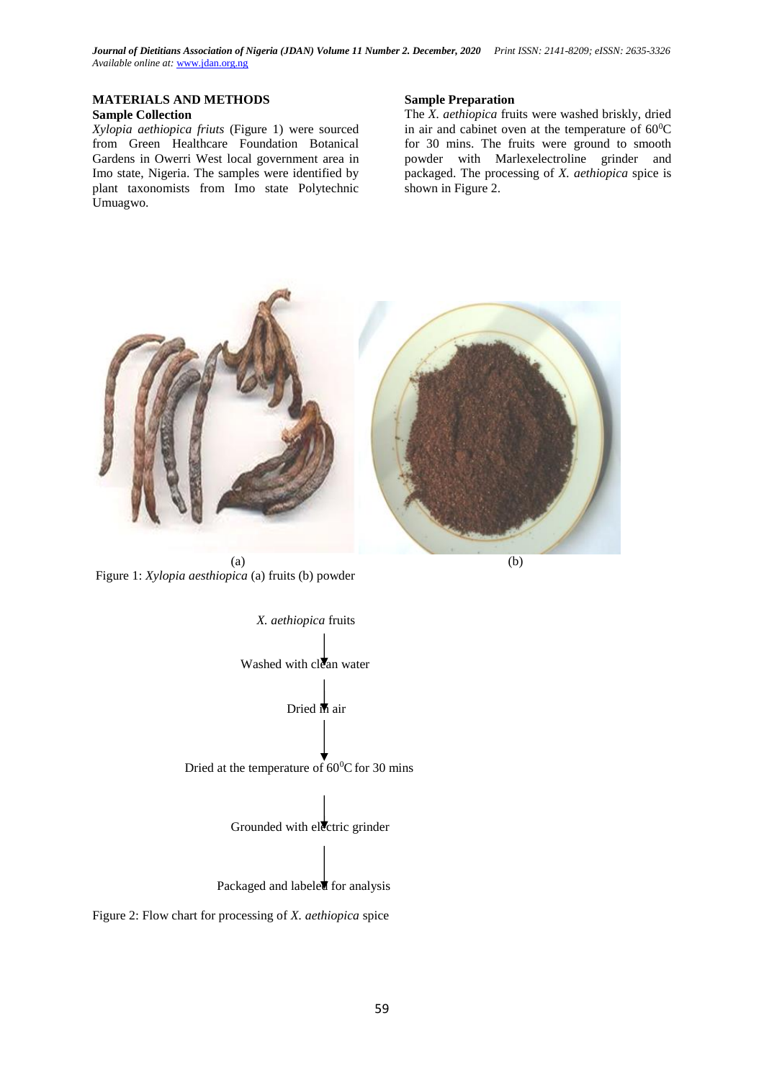# **MATERIALS AND METHODS**

# **Sample Collection**

*Xylopia aethiopica friuts* (Figure 1) were sourced from Green Healthcare Foundation Botanical Gardens in Owerri West local government area in Imo state, Nigeria. The samples were identified by plant taxonomists from Imo state Polytechnic Umuagwo.

#### **Sample Preparation**

The *X. aethiopica* fruits were washed briskly, dried in air and cabinet oven at the temperature of  $60^{\circ}$ C for 30 mins. The fruits were ground to smooth powder with Marlexelectroline grinder and packaged. The processing of *X. aethiopica* spice is shown in Figure 2.



Figure 1: *Xylopia aesthiopica* (a) fruits (b) powder



Figure 2: Flow chart for processing of *X. aethiopica* spice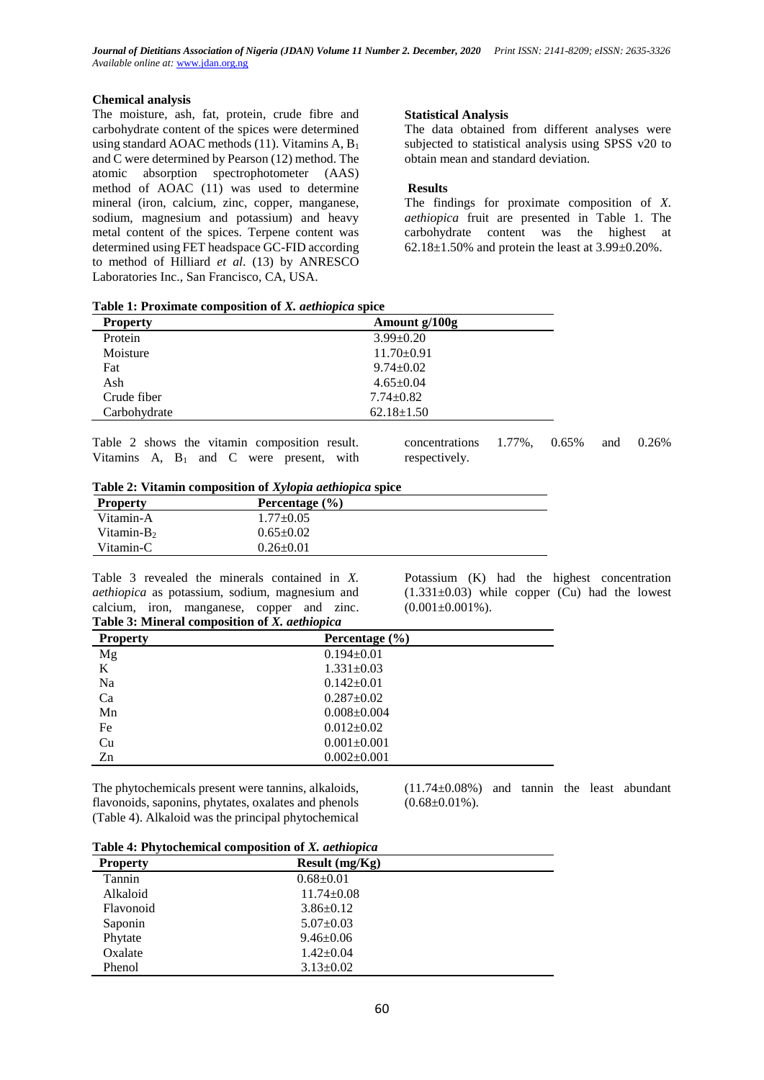### **Chemical analysis**

The moisture, ash, fat, protein, crude fibre and carbohydrate content of the spices were determined using standard AOAC methods  $(11)$ . Vitamins A,  $B_1$ and C were determined by Pearson (12) method. The atomic absorption spectrophotometer (AAS) method of AOAC (11) was used to determine mineral (iron, calcium, zinc, copper, manganese, sodium, magnesium and potassium) and heavy metal content of the spices. Terpene content was determined using FET headspace GC-FID according to method of Hilliard *et al*. (13) by ANRESCO Laboratories Inc., San Francisco, CA, USA.

### **Statistical Analysis**

The data obtained from different analyses were subjected to statistical analysis using SPSS v20 to obtain mean and standard deviation.

# **Results**

The findings for proximate composition of *X. aethiopica* fruit are presented in Table 1. The carbohydrate content was the highest at 62.18 $\pm$ 1.50% and protein the least at 3.99 $\pm$ 0.20%.

|  | Table 1: Proximate composition of X. aethiopica spice |  |  |
|--|-------------------------------------------------------|--|--|
|  |                                                       |  |  |

| <b>Property</b> | Amount g/100g    |
|-----------------|------------------|
| Protein         | $3.99 \pm 0.20$  |
| Moisture        | $11.70 \pm 0.91$ |
| Fat             | $9.74 \pm 0.02$  |
| Ash             | $4.65 \pm 0.04$  |
| Crude fiber     | $7.74 \pm 0.82$  |
| Carbohydrate    | $62.18 \pm 1.50$ |

Table 2 shows the vitamin composition result. Vitamins A,  $B_1$  and C were present, with concentrations 1.77%, 0.65% and 0.26% respectively.

|  | Table 2: Vitamin composition of Xylopia aethiopica spice |  |  |
|--|----------------------------------------------------------|--|--|
|  |                                                          |  |  |

| <b>Property</b> | Percentage $(\% )$ |  |
|-----------------|--------------------|--|
| Vitamin-A       | $1.77+0.05$        |  |
| Vitamin- $B_2$  | $0.65 \pm 0.02$    |  |
| Vitamin-C       | $0.26 \pm 0.01$    |  |

Table 3 revealed the minerals contained in *X. aethiopica* as potassium, sodium, magnesium and calcium, iron, manganese, copper and zinc. **Table 3: Mineral composition of** *X. aethiopica*

Potassium (K) had the highest concentration  $(1.331\pm0.03)$  while copper (Cu) had the lowest  $(0.001\pm0.001\%)$ .

| <b>Table 3: Mineral composition of X. aethiopica</b> |                    |  |
|------------------------------------------------------|--------------------|--|
| <b>Property</b>                                      | Percentage $(\% )$ |  |
| Mg                                                   | $0.194 \pm 0.01$   |  |
| K                                                    | $1.331 \pm 0.03$   |  |
| Na                                                   | $0.142 \pm 0.01$   |  |
| Ca                                                   | $0.287 \pm 0.02$   |  |
| Mn                                                   | $0.008 \pm 0.004$  |  |
| Fe                                                   | $0.012 \pm 0.02$   |  |
| Cu                                                   | $0.001 \pm 0.001$  |  |
| Zn                                                   | $0.002 \pm 0.001$  |  |

The phytochemicals present were tannins, alkaloids, flavonoids, saponins, phytates, oxalates and phenols (Table 4). Alkaloid was the principal phytochemical (11.74±0.08%) and tannin the least abundant  $(0.68 \pm 0.01\%)$ .

| Table 4: Phytochemical composition of X. aethiopica |  |  |
|-----------------------------------------------------|--|--|
|                                                     |  |  |

| Tubic - Terry coencincul composition of <i>i</i> n activity ficul |                  |  |
|-------------------------------------------------------------------|------------------|--|
| <b>Property</b>                                                   | Result $(mg/Kg)$ |  |
| Tannin                                                            | $0.68 \pm 0.01$  |  |
| Alkaloid                                                          | $11.74 \pm 0.08$ |  |
| Flavonoid                                                         | $3.86 \pm 0.12$  |  |
| Saponin                                                           | $5.07 \pm 0.03$  |  |
| Phytate                                                           | $9.46 \pm 0.06$  |  |
| Oxalate                                                           | $1.42 \pm 0.04$  |  |
| Phenol                                                            | $3.13 \pm 0.02$  |  |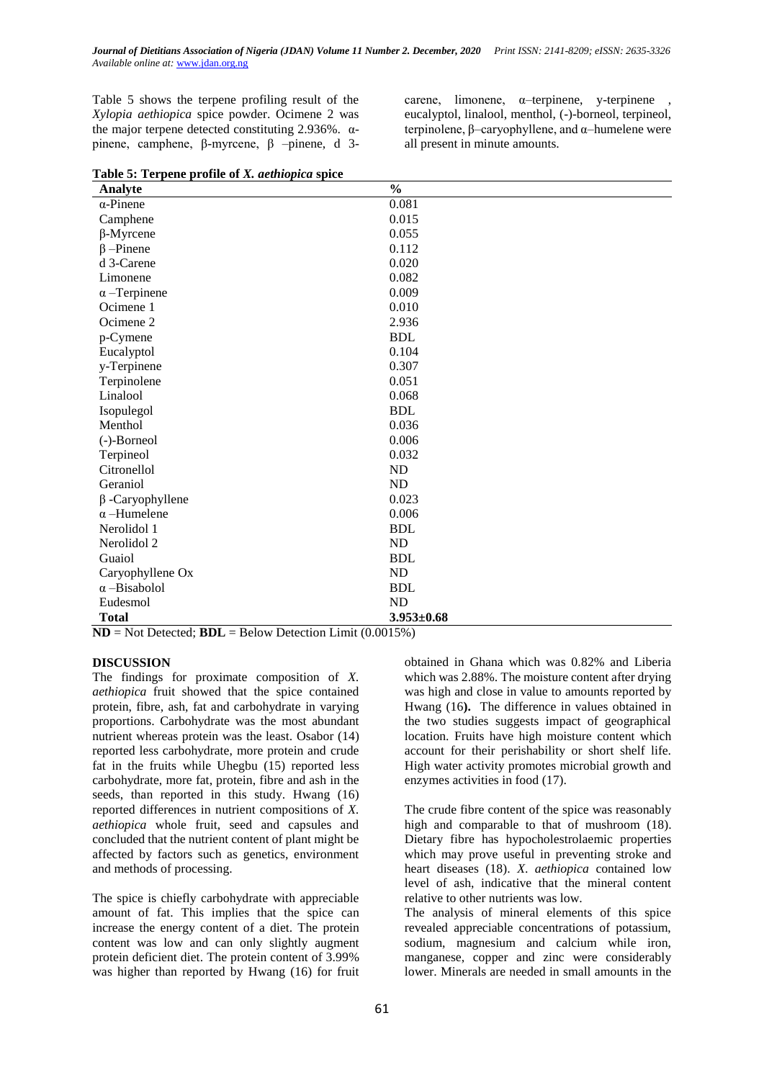Table 5 shows the terpene profiling result of the *Xylopia aethiopica* spice powder. Ocimene 2 was the major terpene detected constituting 2.936%.  $α$ pinene, camphene, β-myrcene, β –pinene, d 3carene, limonene,  $\alpha$ -terpinene, y-terpinene eucalyptol, linalool, menthol, (-)-borneol, terpineol, terpinolene, β–caryophyllene, and α–humelene were all present in minute amounts.

|  | Table 5: Terpene profile of X. aethiopica spice |  |
|--|-------------------------------------------------|--|
|  |                                                 |  |

| Analyte                | $\frac{0}{0}$    |
|------------------------|------------------|
| $\alpha$ -Pinene       | 0.081            |
| Camphene               | 0.015            |
| $\beta$ -Myrcene       | 0.055            |
| $\beta$ -Pinene        | 0.112            |
| d 3-Carene             | 0.020            |
| Limonene               | 0.082            |
| $\alpha$ –Terpinene    | 0.009            |
| Ocimene 1              | 0.010            |
| Ocimene <sub>2</sub>   | 2.936            |
| p-Cymene               | <b>BDL</b>       |
| Eucalyptol             | 0.104            |
| y-Terpinene            | 0.307            |
| Terpinolene            | 0.051            |
| Linalool               | 0.068            |
| Isopulegol             | <b>BDL</b>       |
| Menthol                | 0.036            |
| (-)-Borneol            | 0.006            |
| Terpineol              | 0.032            |
| Citronellol            | ND               |
| Geraniol               | <b>ND</b>        |
| $\beta$ -Caryophyllene | 0.023            |
| $\alpha$ -Humelene     | 0.006            |
| Nerolidol 1            | <b>BDL</b>       |
| Nerolidol 2            | ND               |
| Guaiol                 | <b>BDL</b>       |
| Caryophyllene Ox       | <b>ND</b>        |
| $\alpha$ -Bisabolol    | <b>BDL</b>       |
| Eudesmol               | ND               |
| <b>Total</b>           | $3.953 \pm 0.68$ |

**ND** = Not Detected; **BDL** = Below Detection Limit (0.0015%)

#### **DISCUSSION**

The findings for proximate composition of *X. aethiopica* fruit showed that the spice contained protein, fibre, ash, fat and carbohydrate in varying proportions. Carbohydrate was the most abundant nutrient whereas protein was the least. Osabor (14) reported less carbohydrate, more protein and crude fat in the fruits while Uhegbu (15) reported less carbohydrate, more fat, protein, fibre and ash in the seeds, than reported in this study. Hwang (16) reported differences in nutrient compositions of *X. aethiopica* whole fruit, seed and capsules and concluded that the nutrient content of plant might be affected by factors such as genetics, environment and methods of processing.

The spice is chiefly carbohydrate with appreciable amount of fat. This implies that the spice can increase the energy content of a diet. The protein content was low and can only slightly augment protein deficient diet. The protein content of 3.99% was higher than reported by Hwang (16) for fruit

obtained in Ghana which was 0.82% and Liberia which was 2.88%. The moisture content after drying was high and close in value to amounts reported by Hwang (16**).** The difference in values obtained in the two studies suggests impact of geographical location. Fruits have high moisture content which account for their perishability or short shelf life. High water activity promotes microbial growth and enzymes activities in food (17).

The crude fibre content of the spice was reasonably high and comparable to that of mushroom (18). Dietary fibre has hypocholestrolaemic properties which may prove useful in preventing stroke and heart diseases (18). *X*. *aethiopica* contained low level of ash, indicative that the mineral content relative to other nutrients was low.

The analysis of mineral elements of this spice revealed appreciable concentrations of potassium, sodium, magnesium and calcium while iron, manganese, copper and zinc were considerably lower. Minerals are needed in small amounts in the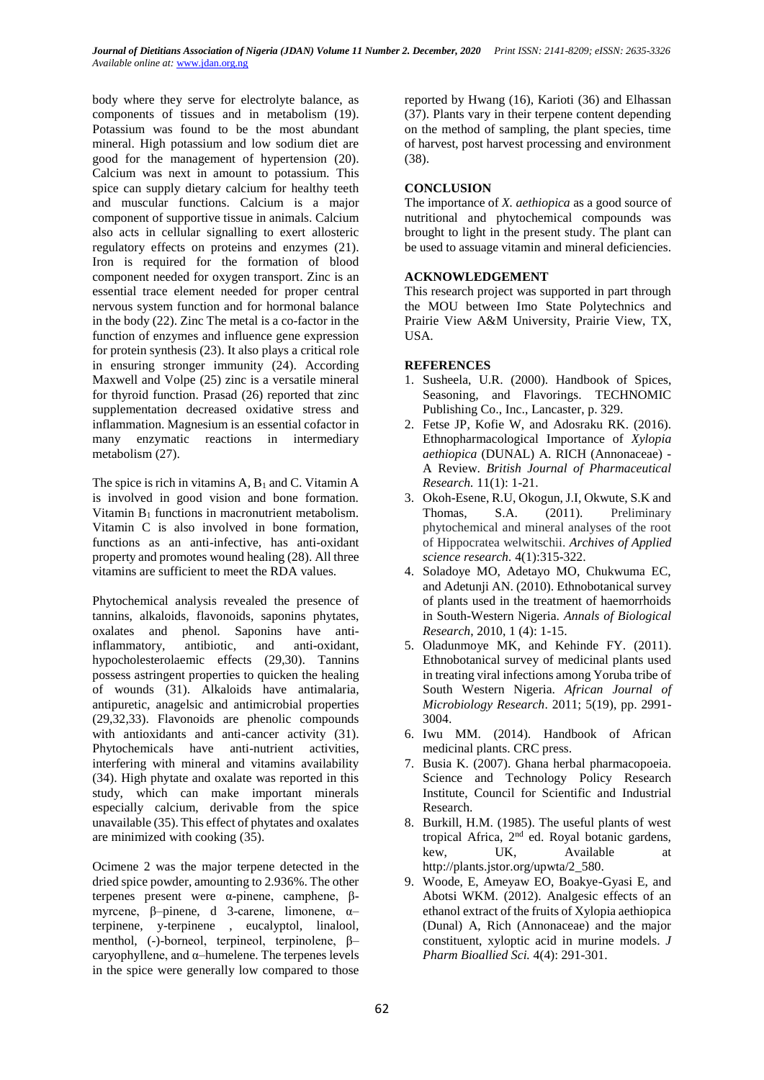body where they serve for electrolyte balance, as components of tissues and in metabolism (19). Potassium was found to be the most abundant mineral. High potassium and low sodium diet are good for the management of hypertension (20). Calcium was next in amount to potassium. This spice can supply dietary calcium for healthy teeth and muscular functions. Calcium is a major component of supportive tissue in animals. Calcium also acts in cellular signalling to exert allosteric regulatory effects on proteins and enzymes (21). Iron is required for the formation of blood component needed for oxygen transport. Zinc is an essential trace element needed for proper central nervous system function and for hormonal balance in the body (22). Zinc The metal is a co-factor in the function of enzymes and influence gene expression for protein synthesis (23). It also plays a critical role in ensuring stronger immunity (24). According Maxwell and Volpe (25) zinc is a versatile mineral for thyroid function. Prasad (26) reported that zinc supplementation decreased oxidative stress and inflammation. Magnesium is an essential cofactor in many enzymatic reactions in intermediary metabolism (27).

The spice is rich in vitamins  $A$ ,  $B_1$  and C. Vitamin  $A$ is involved in good vision and bone formation. Vitamin  $B_1$  functions in macronutrient metabolism. Vitamin C is also involved in bone formation, functions as an anti-infective, has anti-oxidant property and promotes wound healing (28). All three vitamins are sufficient to meet the RDA values.

Phytochemical analysis revealed the presence of tannins, alkaloids, flavonoids, saponins phytates, oxalates and phenol. Saponins have antiinflammatory, antibiotic, and anti-oxidant, hypocholesterolaemic effects (29,30). Tannins possess astringent properties to quicken the healing of wounds (31). Alkaloids have antimalaria, antipuretic, anagelsic and antimicrobial properties (29,32,33). Flavonoids are phenolic compounds with antioxidants and anti-cancer activity (31). Phytochemicals have anti-nutrient activities, interfering with mineral and vitamins availability (34). High phytate and oxalate was reported in this study, which can make important minerals especially calcium, derivable from the spice unavailable (35). This effect of phytates and oxalates are minimized with cooking (35).

Ocimene 2 was the major terpene detected in the dried spice powder, amounting to 2.936%. The other terpenes present were α-pinene, camphene, βmyrcene, β–pinene, d 3-carene, limonene, α– terpinene, y-terpinene , eucalyptol, linalool, menthol, (-)-borneol, terpineol, terpinolene, β– caryophyllene, and  $\alpha$ –humelene. The terpenes levels in the spice were generally low compared to those

reported by Hwang (16), Karioti (36) and Elhassan (37). Plants vary in their terpene content depending on the method of sampling, the plant species, time of harvest, post harvest processing and environment (38).

## **CONCLUSION**

The importance of *X. aethiopica* as a good source of nutritional and phytochemical compounds was brought to light in the present study. The plant can be used to assuage vitamin and mineral deficiencies.

# **ACKNOWLEDGEMENT**

This research project was supported in part through the MOU between Imo State Polytechnics and Prairie View A&M University, Prairie View, TX, USA.

# **REFERENCES**

- 1. Susheela, U.R. (2000). Handbook of Spices, Seasoning, and Flavorings. TECHNOMIC Publishing Co., Inc., Lancaster, p. 329.
- 2. Fetse JP, Kofie W, and Adosraku RK. (2016). Ethnopharmacological Importance of *Xylopia aethiopica* (DUNAL) A. RICH (Annonaceae) - A Review. *British Journal of Pharmaceutical Research.* 11(1): 1-21.
- 3. Okoh-Esene, R.U, Okogun, J.I, Okwute, S.K and Thomas, S.A. (2011). Preliminary phytochemical and mineral analyses of the root of Hippocratea welwitschii. *Archives of Applied science research.* 4(1):315-322.
- 4. Soladoye MO, Adetayo MO, Chukwuma EC, and Adetunji AN. (2010). Ethnobotanical survey of plants used in the treatment of haemorrhoids in South-Western Nigeria. *Annals of Biological Research*, 2010, 1 (4): 1-15.
- 5. Oladunmoye MK, and Kehinde FY. (2011). Ethnobotanical survey of medicinal plants used in treating viral infections among Yoruba tribe of South Western Nigeria. *African Journal of Microbiology Research*. 2011; 5(19), pp. 2991- 3004.
- 6. Iwu MM. (2014). Handbook of African medicinal plants. CRC press.
- 7. Busia K. (2007). Ghana herbal pharmacopoeia. Science and Technology Policy Research Institute, Council for Scientific and Industrial Research.
- 8. Burkill, H.M. (1985). The useful plants of west tropical Africa, 2nd ed. Royal botanic gardens, kew, UK, Available at http://plants.jstor.org/upwta/2\_580.
- 9. Woode, E, Ameyaw EO, Boakye-Gyasi E, and Abotsi WKM. (2012). Analgesic effects of an ethanol extract of the fruits of Xylopia aethiopica (Dunal) A, Rich (Annonaceae) and the major constituent, xyloptic acid in murine models. *J Pharm Bioallied Sci.* 4(4): 291-301.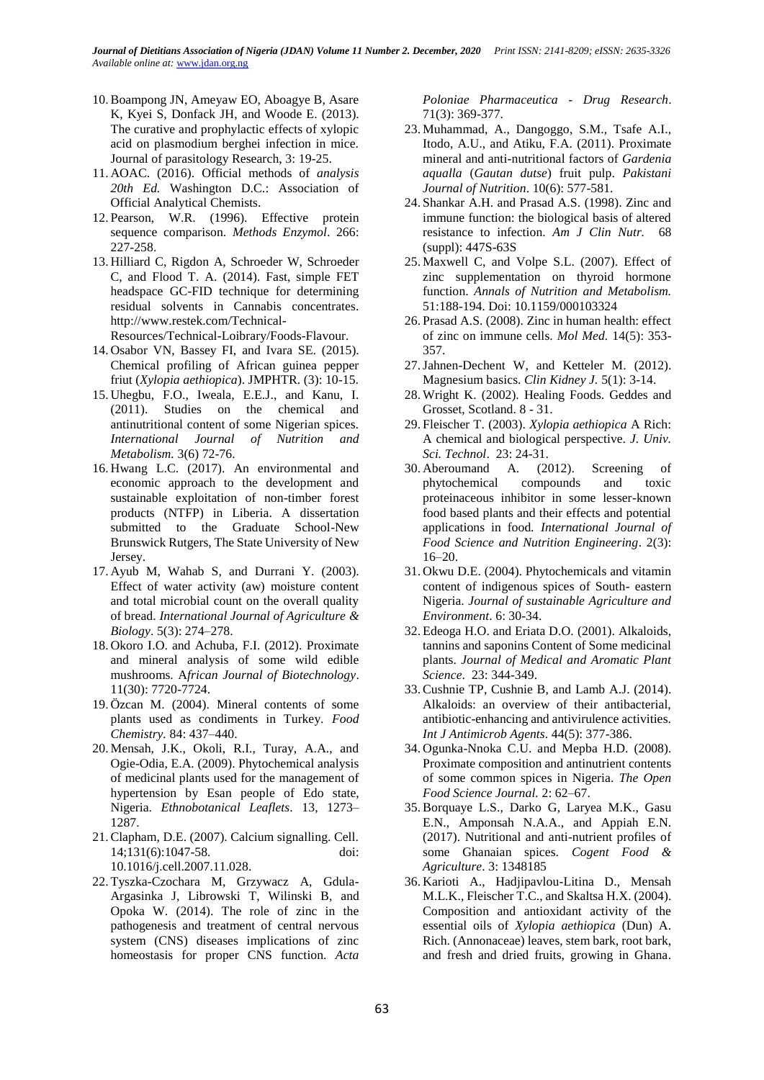- 10.Boampong JN, Ameyaw EO, Aboagye B, Asare K, Kyei S, Donfack JH, and Woode E. (2013). The curative and prophylactic effects of xylopic acid on plasmodium berghei infection in mice. Journal of parasitology Research, 3: 19-25.
- 11. AOAC. (2016). Official methods of *analysis 20th Ed.* Washington D.C.: Association of Official Analytical Chemists.
- 12. Pearson, W.R. (1996). Effective protein sequence comparison. *Methods Enzymol*. 266: 227-258.
- 13. Hilliard C, Rigdon A, Schroeder W, Schroeder C, and Flood T. A. (2014). Fast, simple FET headspace GC-FID technique for determining residual solvents in Cannabis concentrates. http://www.restek.com/Technical-
- Resources/Technical-Loibrary/Foods-Flavour.
- 14. Osabor VN, Bassey FI, and Ivara SE. (2015). Chemical profiling of African guinea pepper friut (*Xylopia aethiopica*). JMPHTR. (3): 10-15.
- 15. Uhegbu, F.O., Iweala, E.E.J., and Kanu, I. (2011). Studies on the chemical and antinutritional content of some Nigerian spices*. International Journal of Nutrition and Metabolism.* 3(6) 72-76.
- 16. Hwang L.C. (2017). An environmental and economic approach to the development and sustainable exploitation of non-timber forest products (NTFP) in Liberia. A dissertation submitted to the Graduate School-New Brunswick Rutgers, The State University of New Jersey.
- 17. Ayub M, Wahab S, and Durrani Y. (2003). Effect of water activity (aw) moisture content and total microbial count on the overall quality of bread. *International Journal of Agriculture & Biology*. 5(3): 274–278.
- 18. Okoro I.O. and Achuba, F.I. (2012). Proximate and mineral analysis of some wild edible mushrooms. A*frican Journal of Biotechnology*. 11(30): 7720-7724.
- 19. Özcan M. (2004). Mineral contents of some plants used as condiments in Turkey. *Food Chemistry.* 84: 437–440.
- 20. Mensah, J.K., Okoli, R.I., Turay, A.A., and Ogie-Odia, E.A. (2009). Phytochemical analysis of medicinal plants used for the management of hypertension by Esan people of Edo state, Nigeria. *Ethnobotanical Leaflets*. 13, 1273– 1287.
- 21.Clapham, D.E. (2007). Calcium signalling. Cell. 14;131(6):1047-58. doi: 10.1016/j.cell.2007.11.028.
- 22. Tyszka-Czochara M, Grzywacz A, Gdula-Argasinka J, Librowski T, Wilinski B, and Opoka W. (2014). The role of zinc in the pathogenesis and treatment of central nervous system (CNS) diseases implications of zinc homeostasis for proper CNS function. *Acta*

*Poloniae Pharmaceutica* - *Drug Research*. 71(3): 369-377.

- 23. Muhammad, A., Dangoggo, S.M., Tsafe A.I., Itodo, A.U., and Atiku, F.A. (2011). Proximate mineral and anti-nutritional factors of *Gardenia aqualla* (*Gautan dutse*) fruit pulp. *Pakistani Journal of Nutrition*. 10(6): 577-581.
- 24. Shankar A.H. and Prasad A.S. (1998). Zinc and immune function: the biological basis of altered resistance to infection. *Am J Clin Nutr.* 68 (suppl): 447S-63S
- 25. Maxwell C, and Volpe S.L. (2007). Effect of zinc supplementation on thyroid hormone function. *Annals of Nutrition and Metabolism.* 51:188-194. Doi: 10.1159/000103324
- 26. Prasad A.S. (2008). Zinc in human health: effect of zinc on immune cells. *Mol Med.* 14(5): 353- 357.
- 27.Jahnen-Dechent W, and Ketteler M. (2012). Magnesium basics. *Clin Kidney J.* 5(1): 3-14.
- 28. Wright K. (2002). Healing Foods. Geddes and Grosset, Scotland. 8 - 31.
- 29. Fleischer T. (2003). *Xylopia aethiopica* A Rich: A chemical and biological perspective. *J. Univ. Sci. Technol*. 23: 24-31.
- 30. Aberoumand A. (2012). Screening of phytochemical compounds and toxic proteinaceous inhibitor in some lesser-known food based plants and their effects and potential applications in food*. International Journal of Food Science and Nutrition Engineering*. 2(3): 16–20.
- 31. Okwu D.E. (2004). Phytochemicals and vitamin content of indigenous spices of South- eastern Nigeria. *Journal of sustainable Agriculture and Environment*. 6: 30-34.
- 32. Edeoga H.O. and Eriata D.O. (2001). Alkaloids, tannins and saponins Content of Some medicinal plants. *Journal of Medical and Aromatic Plant Science*. 23: 344-349.
- 33.Cushnie TP, Cushnie B, and Lamb A.J. (2014). Alkaloids: an overview of their antibacterial, antibiotic-enhancing and antivirulence activities. *Int J Antimicrob Agents*. 44(5): 377-386.
- 34. Ogunka-Nnoka C.U. and Mepba H.D. (2008). Proximate composition and antinutrient contents of some common spices in Nigeria. *The Open Food Science Journal.* 2: 62–67.
- 35.Borquaye L.S., Darko G, Laryea M.K., Gasu E.N., Amponsah N.A.A., and Appiah E.N. (2017). Nutritional and anti-nutrient profiles of some Ghanaian spices. *Cogent Food & Agriculture*. 3: 1348185
- 36. Karioti A., Hadjipavlou-Litina D., Mensah M.L.K., Fleischer T.C., and Skaltsa H.X. (2004). Composition and antioxidant activity of the essential oils of *Xylopia aethiopica* (Dun) A. Rich. (Annonaceae) leaves, stem bark, root bark, and fresh and dried fruits, growing in Ghana.